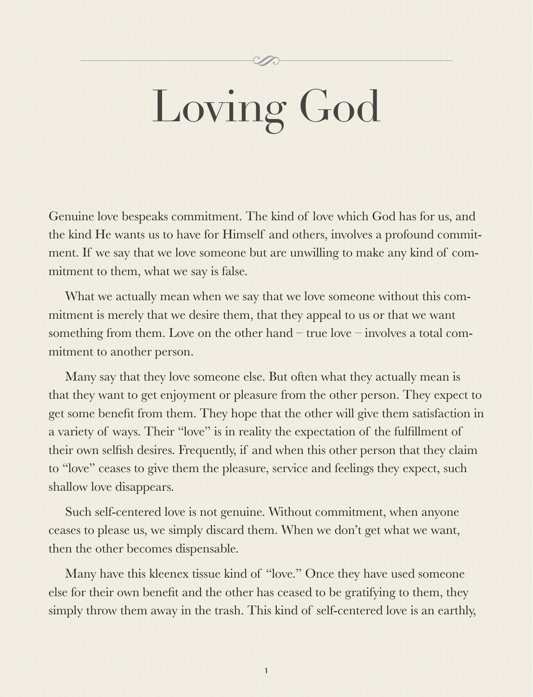# Loving God

Genuine love bespeaks commitment. The kind of love which God has for us, and the kind He wants us to have for Himself and others, involves a profound commitment. If we say that we love someone but are unwilling to make any kind of commitment to them, what we say is false.

What we actually mean when we say that we love someone without this commitment is merely that we desire them, that they appeal to us or that we want something from them. Love on the other hand – true love – involves a total commitment to another person.

Many say that they love someone else. But often what they actually mean is that they want to get enjoyment or pleasure from the other person. They expect to get some benefit from them. They hope that the other will give them satisfaction in a variety of ways. Their "love" is in reality the expectation of the fulfillment of their own selfish desires. Frequently, if and when this other person that they claim to "love" ceases to give them the pleasure, service and feelings they expect, such shallow love disappears.

Such self-centered love is not genuine. Without commitment, when anyone ceases to please us, we simply discard them. When we don't get what we want, then the other becomes dispensable.

Many have this kleenex tissue kind of "love." Once they have used someone else for their own benefit and the other has ceased to be gratifying to them, they simply throw them away in the trash. This kind of self-centered love is an earthly,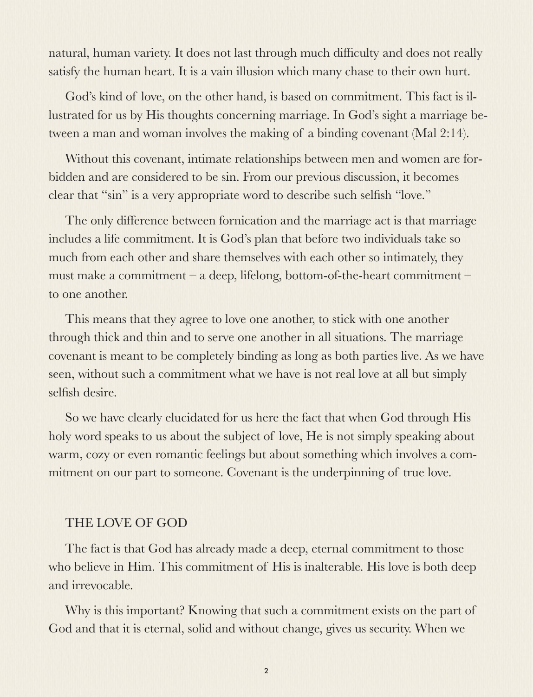natural, human variety. It does not last through much difficulty and does not really satisfy the human heart. It is a vain illusion which many chase to their own hurt.

God's kind of love, on the other hand, is based on commitment. This fact is illustrated for us by His thoughts concerning marriage. In God's sight a marriage between a man and woman involves the making of a binding covenant (Mal 2:14).

Without this covenant, intimate relationships between men and women are forbidden and are considered to be sin. From our previous discussion, it becomes clear that "sin" is a very appropriate word to describe such selfish "love."

The only difference between fornication and the marriage act is that marriage includes a life commitment. It is God's plan that before two individuals take so much from each other and share themselves with each other so intimately, they must make a commitment – a deep, lifelong, bottom-of-the-heart commitment – to one another.

This means that they agree to love one another, to stick with one another through thick and thin and to serve one another in all situations. The marriage covenant is meant to be completely binding as long as both parties live. As we have seen, without such a commitment what we have is not real love at all but simply selfish desire.

So we have clearly elucidated for us here the fact that when God through His holy word speaks to us about the subject of love, He is not simply speaking about warm, cozy or even romantic feelings but about something which involves a commitment on our part to someone. Covenant is the underpinning of true love.

### THE LOVE OF GOD

The fact is that God has already made a deep, eternal commitment to those who believe in Him. This commitment of His is inalterable. His love is both deep and irrevocable.

Why is this important? Knowing that such a commitment exists on the part of God and that it is eternal, solid and without change, gives us security. When we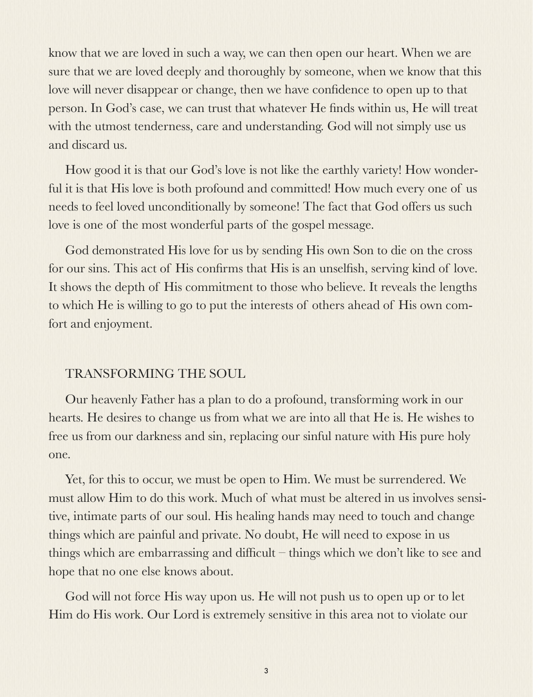know that we are loved in such a way, we can then open our heart. When we are sure that we are loved deeply and thoroughly by someone, when we know that this love will never disappear or change, then we have confidence to open up to that person. In God's case, we can trust that whatever He finds within us, He will treat with the utmost tenderness, care and understanding. God will not simply use us and discard us.

How good it is that our God's love is not like the earthly variety! How wonderful it is that His love is both profound and committed! How much every one of us needs to feel loved unconditionally by someone! The fact that God offers us such love is one of the most wonderful parts of the gospel message.

God demonstrated His love for us by sending His own Son to die on the cross for our sins. This act of His confirms that His is an unselfish, serving kind of love. It shows the depth of His commitment to those who believe. It reveals the lengths to which He is willing to go to put the interests of others ahead of His own comfort and enjoyment.

## TRANSFORMING THE SOUL

Our heavenly Father has a plan to do a profound, transforming work in our hearts. He desires to change us from what we are into all that He is. He wishes to free us from our darkness and sin, replacing our sinful nature with His pure holy one.

Yet, for this to occur, we must be open to Him. We must be surrendered. We must allow Him to do this work. Much of what must be altered in us involves sensitive, intimate parts of our soul. His healing hands may need to touch and change things which are painful and private. No doubt, He will need to expose in us things which are embarrassing and difficult – things which we don't like to see and hope that no one else knows about.

God will not force His way upon us. He will not push us to open up or to let Him do His work. Our Lord is extremely sensitive in this area not to violate our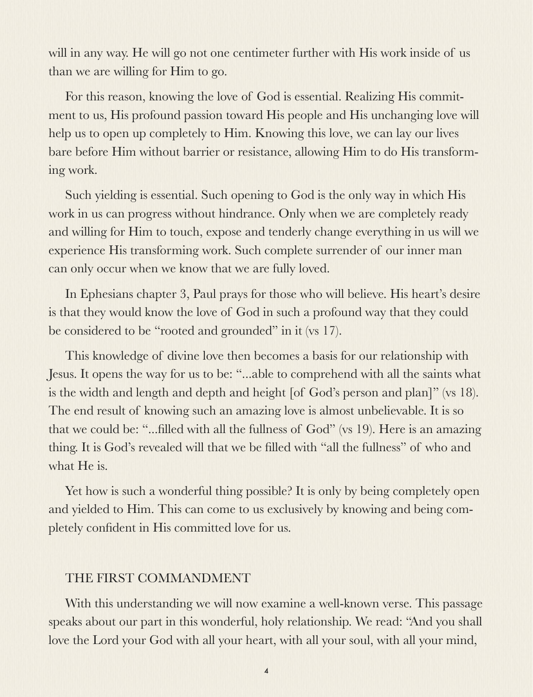will in any way. He will go not one centimeter further with His work inside of us than we are willing for Him to go.

For this reason, knowing the love of God is essential. Realizing His commitment to us, His profound passion toward His people and His unchanging love will help us to open up completely to Him. Knowing this love, we can lay our lives bare before Him without barrier or resistance, allowing Him to do His transforming work.

Such yielding is essential. Such opening to God is the only way in which His work in us can progress without hindrance. Only when we are completely ready and willing for Him to touch, expose and tenderly change everything in us will we experience His transforming work. Such complete surrender of our inner man can only occur when we know that we are fully loved.

In Ephesians chapter 3, Paul prays for those who will believe. His heart's desire is that they would know the love of God in such a profound way that they could be considered to be "rooted and grounded" in it (vs 17).

This knowledge of divine love then becomes a basis for our relationship with Jesus. It opens the way for us to be: "...able to comprehend with all the saints what is the width and length and depth and height [of God's person and plan]" (vs 18). The end result of knowing such an amazing love is almost unbelievable. It is so that we could be: "...filled with all the fullness of God" (vs 19). Here is an amazing thing. It is God's revealed will that we be filled with "all the fullness" of who and what He is.

Yet how is such a wonderful thing possible? It is only by being completely open and yielded to Him. This can come to us exclusively by knowing and being completely confident in His committed love for us.

### THE FIRST COMMANDMENT

With this understanding we will now examine a well-known verse. This passage speaks about our part in this wonderful, holy relationship. We read: "And you shall love the Lord your God with all your heart, with all your soul, with all your mind,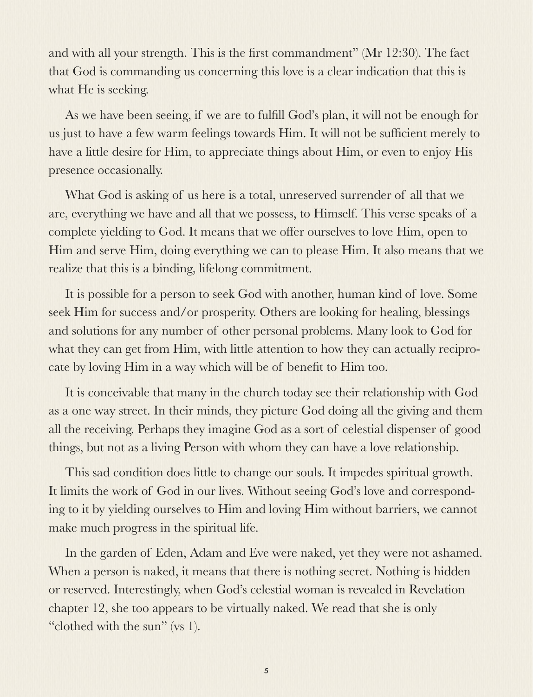and with all your strength. This is the first commandment" (Mr 12:30). The fact that God is commanding us concerning this love is a clear indication that this is what He is seeking.

As we have been seeing, if we are to fulfill God's plan, it will not be enough for us just to have a few warm feelings towards Him. It will not be sufficient merely to have a little desire for Him, to appreciate things about Him, or even to enjoy His presence occasionally.

What God is asking of us here is a total, unreserved surrender of all that we are, everything we have and all that we possess, to Himself. This verse speaks of a complete yielding to God. It means that we offer ourselves to love Him, open to Him and serve Him, doing everything we can to please Him. It also means that we realize that this is a binding, lifelong commitment.

It is possible for a person to seek God with another, human kind of love. Some seek Him for success and/or prosperity. Others are looking for healing, blessings and solutions for any number of other personal problems. Many look to God for what they can get from Him, with little attention to how they can actually reciprocate by loving Him in a way which will be of benefit to Him too.

It is conceivable that many in the church today see their relationship with God as a one way street. In their minds, they picture God doing all the giving and them all the receiving. Perhaps they imagine God as a sort of celestial dispenser of good things, but not as a living Person with whom they can have a love relationship.

This sad condition does little to change our souls. It impedes spiritual growth. It limits the work of God in our lives. Without seeing God's love and corresponding to it by yielding ourselves to Him and loving Him without barriers, we cannot make much progress in the spiritual life.

In the garden of Eden, Adam and Eve were naked, yet they were not ashamed. When a person is naked, it means that there is nothing secret. Nothing is hidden or reserved. Interestingly, when God's celestial woman is revealed in Revelation chapter 12, she too appears to be virtually naked. We read that she is only "clothed with the sun" (vs 1).

5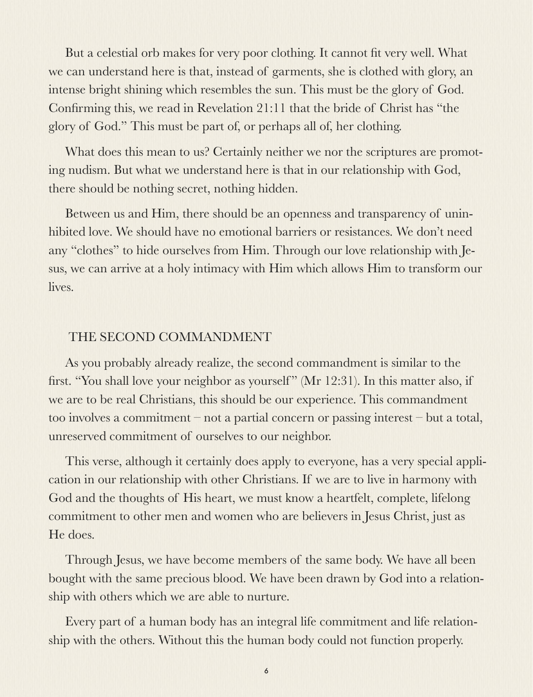But a celestial orb makes for very poor clothing. It cannot fit very well. What we can understand here is that, instead of garments, she is clothed with glory, an intense bright shining which resembles the sun. This must be the glory of God. Confirming this, we read in Revelation 21:11 that the bride of Christ has "the glory of God." This must be part of, or perhaps all of, her clothing.

What does this mean to us? Certainly neither we nor the scriptures are promoting nudism. But what we understand here is that in our relationship with God, there should be nothing secret, nothing hidden.

Between us and Him, there should be an openness and transparency of uninhibited love. We should have no emotional barriers or resistances. We don't need any "clothes" to hide ourselves from Him. Through our love relationship with Jesus, we can arrive at a holy intimacy with Him which allows Him to transform our lives.

### THE SECOND COMMANDMENT

As you probably already realize, the second commandment is similar to the first. "You shall love your neighbor as yourself" (Mr 12:31). In this matter also, if we are to be real Christians, this should be our experience. This commandment too involves a commitment – not a partial concern or passing interest – but a total, unreserved commitment of ourselves to our neighbor.

This verse, although it certainly does apply to everyone, has a very special application in our relationship with other Christians. If we are to live in harmony with God and the thoughts of His heart, we must know a heartfelt, complete, lifelong commitment to other men and women who are believers in Jesus Christ, just as He does.

Through Jesus, we have become members of the same body. We have all been bought with the same precious blood. We have been drawn by God into a relationship with others which we are able to nurture.

Every part of a human body has an integral life commitment and life relationship with the others. Without this the human body could not function properly.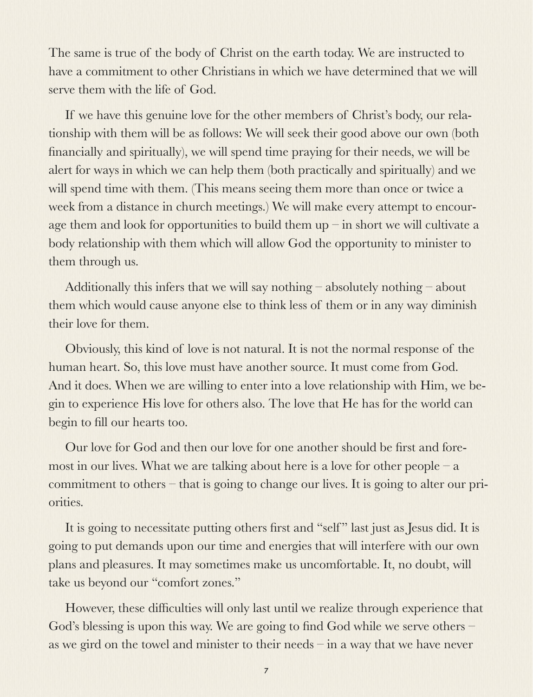The same is true of the body of Christ on the earth today. We are instructed to have a commitment to other Christians in which we have determined that we will serve them with the life of God.

If we have this genuine love for the other members of Christ's body, our relationship with them will be as follows: We will seek their good above our own (both financially and spiritually), we will spend time praying for their needs, we will be alert for ways in which we can help them (both practically and spiritually) and we will spend time with them. (This means seeing them more than once or twice a week from a distance in church meetings.) We will make every attempt to encourage them and look for opportunities to build them  $up$  – in short we will cultivate a body relationship with them which will allow God the opportunity to minister to them through us.

Additionally this infers that we will say nothing – absolutely nothing – about them which would cause anyone else to think less of them or in any way diminish their love for them.

Obviously, this kind of love is not natural. It is not the normal response of the human heart. So, this love must have another source. It must come from God. And it does. When we are willing to enter into a love relationship with Him, we begin to experience His love for others also. The love that He has for the world can begin to fill our hearts too.

Our love for God and then our love for one another should be first and foremost in our lives. What we are talking about here is a love for other people  $-a$ commitment to others – that is going to change our lives. It is going to alter our priorities.

It is going to necessitate putting others first and "self" last just as Jesus did. It is going to put demands upon our time and energies that will interfere with our own plans and pleasures. It may sometimes make us uncomfortable. It, no doubt, will take us beyond our "comfort zones."

However, these difficulties will only last until we realize through experience that God's blessing is upon this way. We are going to find God while we serve others – as we gird on the towel and minister to their needs – in a way that we have never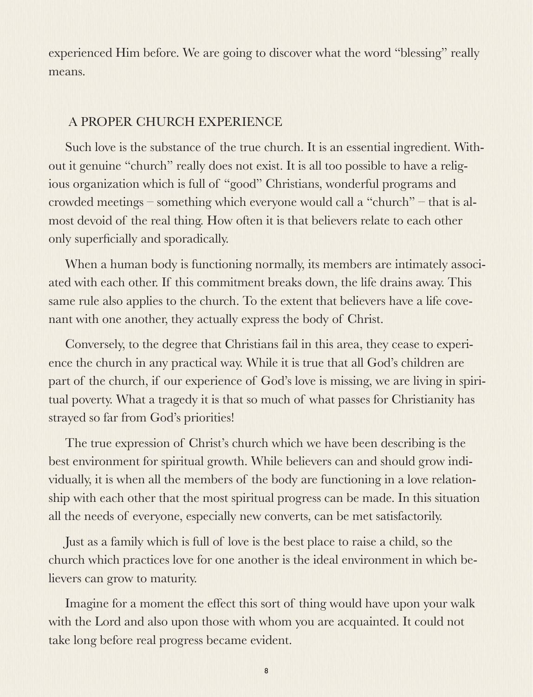experienced Him before. We are going to discover what the word "blessing" really means.

### A PROPER CHURCH EXPERIENCE

Such love is the substance of the true church. It is an essential ingredient. Without it genuine "church" really does not exist. It is all too possible to have a religious organization which is full of "good" Christians, wonderful programs and crowded meetings – something which everyone would call a "church" – that is almost devoid of the real thing. How often it is that believers relate to each other only superficially and sporadically.

When a human body is functioning normally, its members are intimately associated with each other. If this commitment breaks down, the life drains away. This same rule also applies to the church. To the extent that believers have a life covenant with one another, they actually express the body of Christ.

Conversely, to the degree that Christians fail in this area, they cease to experience the church in any practical way. While it is true that all God's children are part of the church, if our experience of God's love is missing, we are living in spiritual poverty. What a tragedy it is that so much of what passes for Christianity has strayed so far from God's priorities!

The true expression of Christ's church which we have been describing is the best environment for spiritual growth. While believers can and should grow individually, it is when all the members of the body are functioning in a love relationship with each other that the most spiritual progress can be made. In this situation all the needs of everyone, especially new converts, can be met satisfactorily.

Just as a family which is full of love is the best place to raise a child, so the church which practices love for one another is the ideal environment in which believers can grow to maturity.

Imagine for a moment the effect this sort of thing would have upon your walk with the Lord and also upon those with whom you are acquainted. It could not take long before real progress became evident.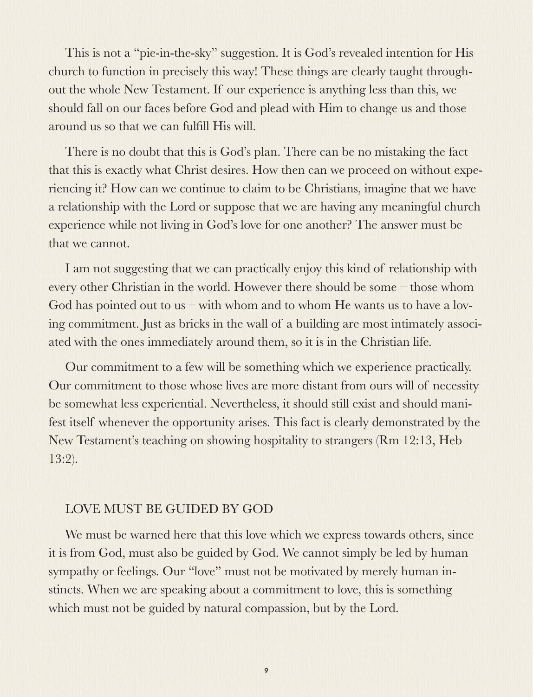This is not a "pie-in-the-sky" suggestion. It is God's revealed intention for His church to function in precisely this way! These things are clearly taught throughout the whole New Testament. If our experience is anything less than this, we should fall on our faces before God and plead with Him to change us and those around us so that we can fulfill His will.

There is no doubt that this is God's plan. There can be no mistaking the fact that this is exactly what Christ desires. How then can we proceed on without experiencing it? How can we continue to claim to be Christians, imagine that we have a relationship with the Lord or suppose that we are having any meaningful church experience while not living in God's love for one another? The answer must be that we cannot.

I am not suggesting that we can practically enjoy this kind of relationship with every other Christian in the world. However there should be some – those whom God has pointed out to us – with whom and to whom He wants us to have a loving commitment. Just as bricks in the wall of a building are most intimately associated with the ones immediately around them, so it is in the Christian life.

Our commitment to a few will be something which we experience practically. Our commitment to those whose lives are more distant from ours will of necessity be somewhat less experiential. Nevertheless, it should still exist and should manifest itself whenever the opportunity arises. This fact is clearly demonstrated by the New Testament's teaching on showing hospitality to strangers (Rm 12:13, Heb 13:2).

### LOVE MUST BE GUIDED BY GOD

We must be warned here that this love which we express towards others, since it is from God, must also be guided by God. We cannot simply be led by human sympathy or feelings. Our "love" must not be motivated by merely human instincts. When we are speaking about a commitment to love, this is something which must not be guided by natural compassion, but by the Lord.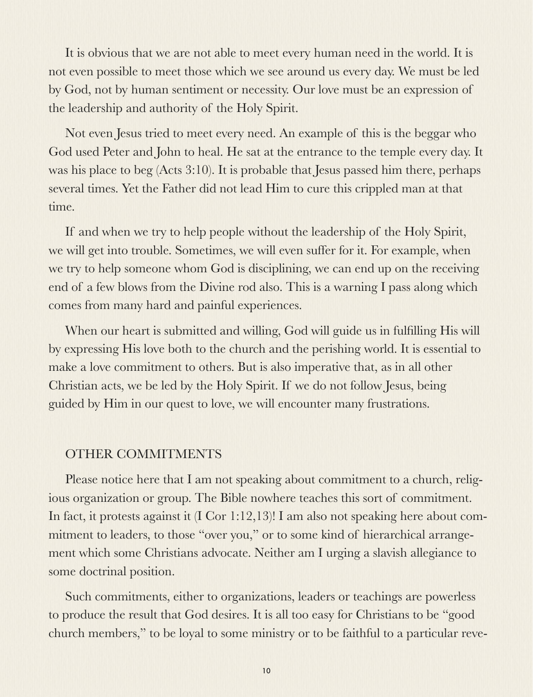It is obvious that we are not able to meet every human need in the world. It is not even possible to meet those which we see around us every day. We must be led by God, not by human sentiment or necessity. Our love must be an expression of the leadership and authority of the Holy Spirit.

Not even Jesus tried to meet every need. An example of this is the beggar who God used Peter and John to heal. He sat at the entrance to the temple every day. It was his place to beg (Acts 3:10). It is probable that Jesus passed him there, perhaps several times. Yet the Father did not lead Him to cure this crippled man at that time.

If and when we try to help people without the leadership of the Holy Spirit, we will get into trouble. Sometimes, we will even suffer for it. For example, when we try to help someone whom God is disciplining, we can end up on the receiving end of a few blows from the Divine rod also. This is a warning I pass along which comes from many hard and painful experiences.

When our heart is submitted and willing, God will guide us in fulfilling His will by expressing His love both to the church and the perishing world. It is essential to make a love commitment to others. But is also imperative that, as in all other Christian acts, we be led by the Holy Spirit. If we do not follow Jesus, being guided by Him in our quest to love, we will encounter many frustrations.

### OTHER COMMITMENTS

Please notice here that I am not speaking about commitment to a church, religious organization or group. The Bible nowhere teaches this sort of commitment. In fact, it protests against it (I Cor 1:12,13)! I am also not speaking here about commitment to leaders, to those "over you," or to some kind of hierarchical arrangement which some Christians advocate. Neither am I urging a slavish allegiance to some doctrinal position.

Such commitments, either to organizations, leaders or teachings are powerless to produce the result that God desires. It is all too easy for Christians to be "good church members," to be loyal to some ministry or to be faithful to a particular reve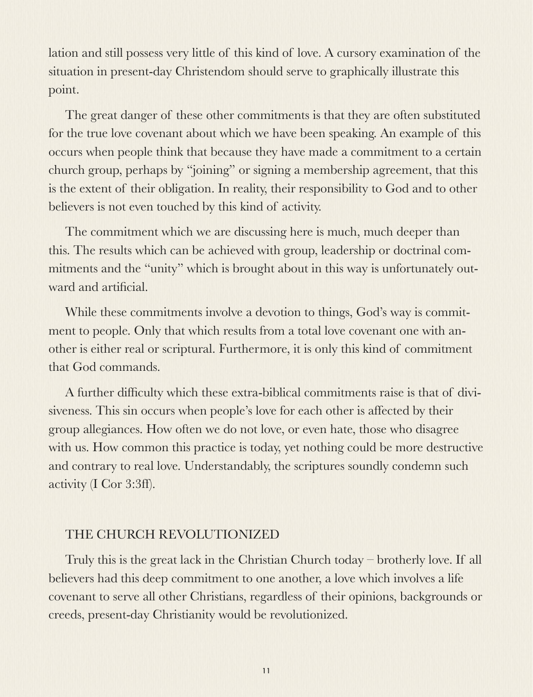lation and still possess very little of this kind of love. A cursory examination of the situation in present-day Christendom should serve to graphically illustrate this point.

The great danger of these other commitments is that they are often substituted for the true love covenant about which we have been speaking. An example of this occurs when people think that because they have made a commitment to a certain church group, perhaps by "joining" or signing a membership agreement, that this is the extent of their obligation. In reality, their responsibility to God and to other believers is not even touched by this kind of activity.

The commitment which we are discussing here is much, much deeper than this. The results which can be achieved with group, leadership or doctrinal commitments and the "unity" which is brought about in this way is unfortunately outward and artificial.

While these commitments involve a devotion to things, God's way is commitment to people. Only that which results from a total love covenant one with another is either real or scriptural. Furthermore, it is only this kind of commitment that God commands.

A further difficulty which these extra-biblical commitments raise is that of divisiveness. This sin occurs when people's love for each other is affected by their group allegiances. How often we do not love, or even hate, those who disagree with us. How common this practice is today, yet nothing could be more destructive and contrary to real love. Understandably, the scriptures soundly condemn such activity (I Cor 3:3ff).

## THE CHURCH REVOLUTIONIZED

Truly this is the great lack in the Christian Church today – brotherly love. If all believers had this deep commitment to one another, a love which involves a life covenant to serve all other Christians, regardless of their opinions, backgrounds or creeds, present-day Christianity would be revolutionized.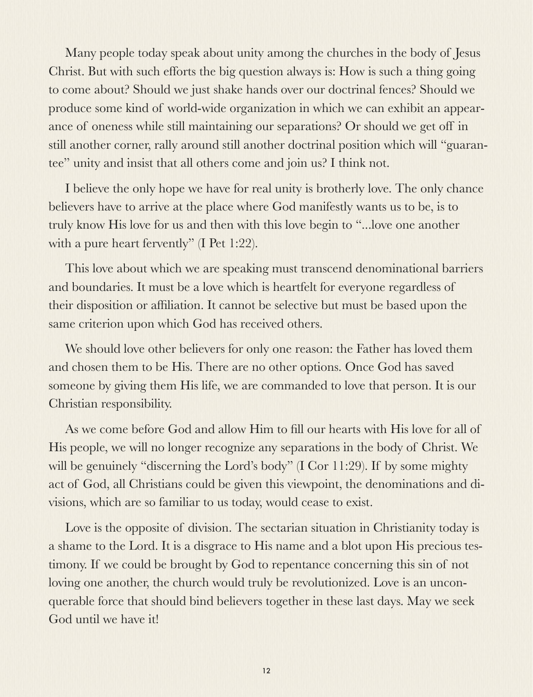Many people today speak about unity among the churches in the body of Jesus Christ. But with such efforts the big question always is: How is such a thing going to come about? Should we just shake hands over our doctrinal fences? Should we produce some kind of world-wide organization in which we can exhibit an appearance of oneness while still maintaining our separations? Or should we get off in still another corner, rally around still another doctrinal position which will "guarantee" unity and insist that all others come and join us? I think not.

I believe the only hope we have for real unity is brotherly love. The only chance believers have to arrive at the place where God manifestly wants us to be, is to truly know His love for us and then with this love begin to "...love one another with a pure heart fervently" (I Pet 1:22).

This love about which we are speaking must transcend denominational barriers and boundaries. It must be a love which is heartfelt for everyone regardless of their disposition or affiliation. It cannot be selective but must be based upon the same criterion upon which God has received others.

We should love other believers for only one reason: the Father has loved them and chosen them to be His. There are no other options. Once God has saved someone by giving them His life, we are commanded to love that person. It is our Christian responsibility.

As we come before God and allow Him to fill our hearts with His love for all of His people, we will no longer recognize any separations in the body of Christ. We will be genuinely "discerning the Lord's body" (I Cor 11:29). If by some mighty act of God, all Christians could be given this viewpoint, the denominations and divisions, which are so familiar to us today, would cease to exist.

Love is the opposite of division. The sectarian situation in Christianity today is a shame to the Lord. It is a disgrace to His name and a blot upon His precious testimony. If we could be brought by God to repentance concerning this sin of not loving one another, the church would truly be revolutionized. Love is an unconquerable force that should bind believers together in these last days. May we seek God until we have it!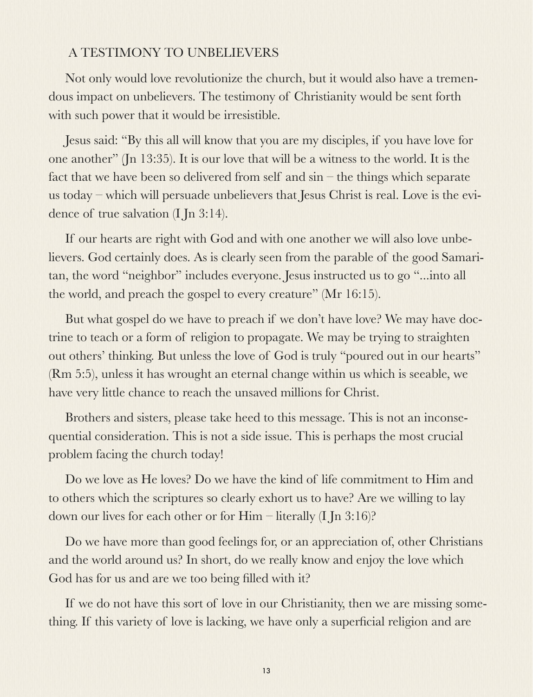### A TESTIMONY TO UNBELIEVERS

Not only would love revolutionize the church, but it would also have a tremendous impact on unbelievers. The testimony of Christianity would be sent forth with such power that it would be irresistible.

Jesus said: "By this all will know that you are my disciples, if you have love for one another" (Jn 13:35). It is our love that will be a witness to the world. It is the fact that we have been so delivered from self and sin – the things which separate us today – which will persuade unbelievers that Jesus Christ is real. Love is the evidence of true salvation (I Jn 3:14).

If our hearts are right with God and with one another we will also love unbelievers. God certainly does. As is clearly seen from the parable of the good Samaritan, the word "neighbor" includes everyone. Jesus instructed us to go "...into all the world, and preach the gospel to every creature" (Mr 16:15).

But what gospel do we have to preach if we don't have love? We may have doctrine to teach or a form of religion to propagate. We may be trying to straighten out others' thinking. But unless the love of God is truly "poured out in our hearts" (Rm 5:5), unless it has wrought an eternal change within us which is seeable, we have very little chance to reach the unsaved millions for Christ.

Brothers and sisters, please take heed to this message. This is not an inconsequential consideration. This is not a side issue. This is perhaps the most crucial problem facing the church today!

Do we love as He loves? Do we have the kind of life commitment to Him and to others which the scriptures so clearly exhort us to have? Are we willing to lay down our lives for each other or for Him – literally (I Jn 3:16)?

Do we have more than good feelings for, or an appreciation of, other Christians and the world around us? In short, do we really know and enjoy the love which God has for us and are we too being filled with it?

If we do not have this sort of love in our Christianity, then we are missing something. If this variety of love is lacking, we have only a superficial religion and are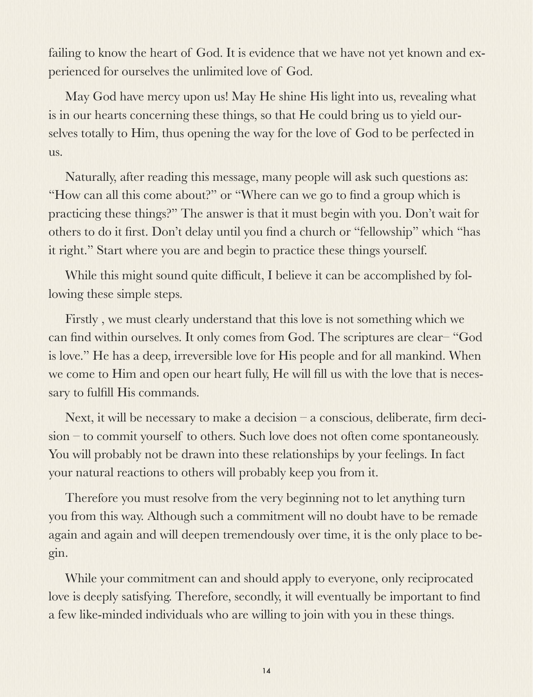failing to know the heart of God. It is evidence that we have not yet known and experienced for ourselves the unlimited love of God.

May God have mercy upon us! May He shine His light into us, revealing what is in our hearts concerning these things, so that He could bring us to yield ourselves totally to Him, thus opening the way for the love of God to be perfected in us.

Naturally, after reading this message, many people will ask such questions as: "How can all this come about?" or "Where can we go to find a group which is practicing these things?" The answer is that it must begin with you. Don't wait for others to do it first. Don't delay until you find a church or "fellowship" which "has it right." Start where you are and begin to practice these things yourself.

While this might sound quite difficult, I believe it can be accomplished by following these simple steps.

Firstly , we must clearly understand that this love is not something which we can find within ourselves. It only comes from God. The scriptures are clear– "God is love." He has a deep, irreversible love for His people and for all mankind. When we come to Him and open our heart fully, He will fill us with the love that is necessary to fulfill His commands.

Next, it will be necessary to make a decision – a conscious, deliberate, firm decision – to commit yourself to others. Such love does not often come spontaneously. You will probably not be drawn into these relationships by your feelings. In fact your natural reactions to others will probably keep you from it.

Therefore you must resolve from the very beginning not to let anything turn you from this way. Although such a commitment will no doubt have to be remade again and again and will deepen tremendously over time, it is the only place to begin.

While your commitment can and should apply to everyone, only reciprocated love is deeply satisfying. Therefore, secondly, it will eventually be important to find a few like-minded individuals who are willing to join with you in these things.